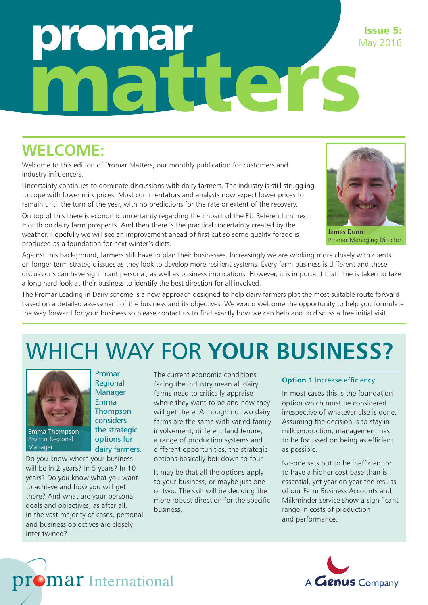## **Omar** matters Issue 5: May 2016

### **WELCOME:**

Welcome to this edition of Promar Matters, our monthly publication for customers and industry influencers.

Uncertainty continues to dominate discussions with dairy farmers. The industry is still struggling to cope with lower milk prices. Most commentators and analysts now expect lower prices to remain until the turn of the year, with no predictions for the rate or extent of the recovery.

On top of this there is economic uncertainty regarding the impact of the EU Referendum next month on dairy farm prospects. And then there is the practical uncertainty created by the weather. Hopefully we will see an improvement ahead of first cut so some quality forage is produced as a foundation for next winter's diets.



James Dunn Promar Managing Director

Against this background, farmers still have to plan their businesses. Increasingly we are working more closely with clients on longer term strategic issues as they look to develop more resilient systems. Every farm business is different and these discussions can have significant personal, as well as business implications. However, it is important that time is taken to take a long hard look at their business to identify the best direction for all involved.

The Promar Leading in Dairy scheme is a new approach designed to help dairy farmers plot the most suitable route forward based on a detailed assessment of the business and its objectives. We would welcome the opportunity to help you formulate the way forward for your business so please contact us to find exactly how we can help and to discuss a free initial visit.

# WHICH WAY FOR **YOUR BUSINESS?**



Emma Thompson Promar Regional **Manager** 

Do you know where your business will be in 2 years? In 5 years? In 10 years? Do you know what you want to achieve and how you will get there? And what are your personal goals and objectives, as after all, in the vast majority of cases, personal and business objectives are closely inter-twined?

promar International

Promar Regional Manager Emma **Thompson** considers the strategic options for dairy farmers. The current economic conditions facing the industry mean all dairy farms need to critically appraise where they want to be and how they will get there. Although no two dairy farms are the same with varied family involvement, different land tenure, a range of production systems and different opportunities, the strategic options basically boil down to four.

It may be that all the options apply to your business, or maybe just one or two. The skill will be deciding the more robust direction for the specific business.

#### **Option 1 Increase efficiency**

In most cases this is the foundation option which must be considered irrespective of whatever else is done. Assuming the decision is to stay in milk production, management has to be focussed on being as efficient as possible.

No-one sets out to be inefficient or to have a higher cost base than is essential, yet year on year the results of our Farm Business Accounts and Milkminder service show a significant range in costs of production and performance.